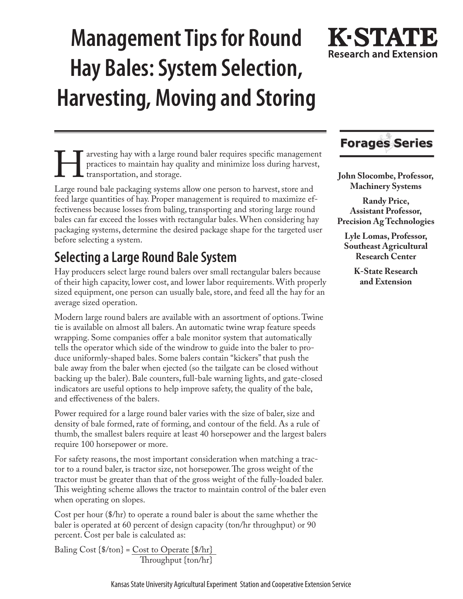# **Management Tips for Round Hay Bales: System Selection, Harvesting, Moving and Storing**



Farvesting hay with a large round baler requires specific management<br>practices to maintain hay quality and minimize loss during harvest,<br>transportation, and storage.<br>Large round bale packaging systems allow one person to h practices to maintain hay quality and minimize loss during harvest, **L** transportation, and storage.

Large round bale packaging systems allow one person to harvest, store and feed large quantities of hay. Proper management is required to maximize effectiveness because losses from baling, transporting and storing large round bales can far exceed the losses with rectangular bales. When considering hay packaging systems, determine the desired package shape for the targeted user before selecting a system.

# **Selecting a Large Round Bale System**

Hay producers select large round balers over small rectangular balers because of their high capacity, lower cost, and lower labor requirements. With properly sized equipment, one person can usually bale, store, and feed all the hay for an average sized operation.

Modern large round balers are available with an assortment of options. Twine tie is available on almost all balers. An automatic twine wrap feature speeds wrapping. Some companies offer a bale monitor system that automatically tells the operator which side of the windrow to guide into the baler to produce uniformly-shaped bales. Some balers contain "kickers" that push the bale away from the baler when ejected (so the tailgate can be closed without backing up the baler). Bale counters, full-bale warning lights, and gate-closed indicators are useful options to help improve safety, the quality of the bale, and effectiveness of the balers.

Power required for a large round baler varies with the size of baler, size and density of bale formed, rate of forming, and contour of the field. As a rule of thumb, the smallest balers require at least 40 horsepower and the largest balers require 100 horsepower or more.

For safety reasons, the most important consideration when matching a tractor to a round baler, is tractor size, not horsepower. The gross weight of the tractor must be greater than that of the gross weight of the fully-loaded baler. This weighting scheme allows the tractor to maintain control of the baler even when operating on slopes.

Cost per hour (\$/hr) to operate a round baler is about the same whether the baler is operated at 60 percent of design capacity (ton/hr throughput) or 90 percent. Cost per bale is calculated as:

Baling Cost  $\{\frac{\pi}{2}$  /ton $\}$  = Cost to Operate  $\{\frac{\pi}{2}$ /hr $\}$ Throughput {ton/hr}

# **Forages Series**

**John Slocombe, Professor, Machinery Systems** 

**Randy Price, Assistant Professor, Precision Ag Technologies**

**Lyle Lomas, Professor, Southeast Agricultural Research Center**

> **K-State Research and Extension**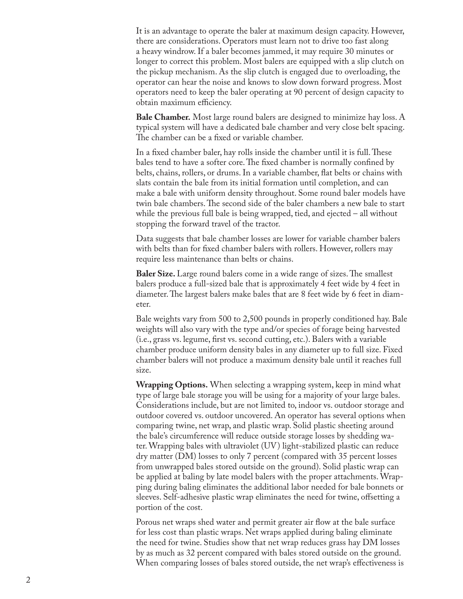It is an advantage to operate the baler at maximum design capacity. However, there are considerations. Operators must learn not to drive too fast along a heavy windrow. If a baler becomes jammed, it may require 30 minutes or longer to correct this problem. Most balers are equipped with a slip clutch on the pickup mechanism. As the slip clutch is engaged due to overloading, the operator can hear the noise and knows to slow down forward progress. Most operators need to keep the baler operating at 90 percent of design capacity to obtain maximum efficiency.

**Bale Chamber.** Most large round balers are designed to minimize hay loss. A typical system will have a dedicated bale chamber and very close belt spacing. The chamber can be a fixed or variable chamber.

In a fixed chamber baler, hay rolls inside the chamber until it is full. These bales tend to have a softer core. The fixed chamber is normally confined by belts, chains, rollers, or drums. In a variable chamber, flat belts or chains with slats contain the bale from its initial formation until completion, and can make a bale with uniform density throughout. Some round baler models have twin bale chambers. The second side of the baler chambers a new bale to start while the previous full bale is being wrapped, tied, and ejected – all without stopping the forward travel of the tractor.

Data suggests that bale chamber losses are lower for variable chamber balers with belts than for fixed chamber balers with rollers. However, rollers may require less maintenance than belts or chains.

**Baler Size.** Large round balers come in a wide range of sizes. The smallest balers produce a full-sized bale that is approximately 4 feet wide by 4 feet in diameter. The largest balers make bales that are 8 feet wide by 6 feet in diam eter.

Bale weights vary from 500 to 2,500 pounds in properly conditioned hay. Bale weights will also vary with the type and/or species of forage being harvested (i.e., grass vs. legume, first vs. second cutting, etc.). Balers with a variable chamber produce uniform density bales in any diameter up to full size. Fixed chamber balers will not produce a maximum density bale until it reaches full size.

**Wrapping Options.** When selecting a wrapping system, keep in mind what type of large bale storage you will be using for a majority of your large bales. Considerations include, but are not limited to, indoor vs. outdoor storage and outdoor covered vs. outdoor uncovered. An operator has several options when comparing twine, net wrap, and plastic wrap. Solid plastic sheeting around the bale's circumference will reduce outside storage losses by shedding wa ter. Wrapping bales with ultraviolet (UV) light-stabilized plastic can reduce dry matter (DM) losses to only 7 percent (compared with 35 percent losses from unwrapped bales stored outside on the ground). Solid plastic wrap can be applied at baling by late model balers with the proper attachments. Wrap ping during baling eliminates the additional labor needed for bale bonnets or sleeves. Self-adhesive plastic wrap eliminates the need for twine, offsetting a portion of the cost.

Porous net wraps shed water and permit greater air flow at the bale surface for less cost than plastic wraps. Net wraps applied during baling eliminate the need for twine. Studies show that net wrap reduces grass hay DM losses by as much as 32 percent compared with bales stored outside on the ground. When comparing losses of bales stored outside, the net wrap's effectiveness is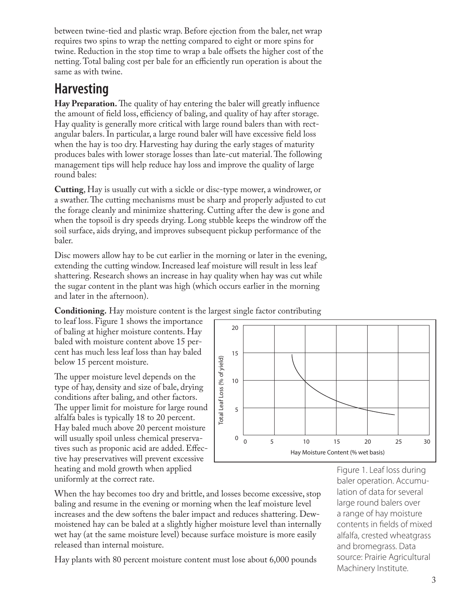between twine-tied and plastic wrap. Before ejection from the baler, net wrap requires two spins to wrap the netting compared to eight or more spins for twine. Reduction in the stop time to wrap a bale offsets the higher cost of the netting. Total baling cost per bale for an efficiently run operation is about the same as with twine.

# **Harvesting**

**Hay Preparation.** The quality of hay entering the baler will greatly influence the amount of field loss, efficiency of baling, and quality of hay after storage. Hay quality is generally more critical with large round balers than with rectangular balers. In particular, a large round baler will have excessive field loss when the hay is too dry. Harvesting hay during the early stages of maturity produces bales with lower storage losses than late-cut material. The following management tips will help reduce hay loss and improve the quality of large round bales:

**Cutting**, Hay is usually cut with a sickle or disc-type mower, a windrower, or a swather. The cutting mechanisms must be sharp and properly adjusted to cut the forage cleanly and minimize shattering. Cutting after the dew is gone and when the topsoil is dry speeds drying. Long stubble keeps the windrow off the soil surface, aids drying, and improves subsequent pickup performance of the baler.

Disc mowers allow hay to be cut earlier in the morning or later in the evening, extending the cutting window. Increased leaf moisture will result in less leaf shattering. Research shows an increase in hay quality when hay was cut while the sugar content in the plant was high (which occurs earlier in the morning and later in the afternoon).

**Conditioning.** Hay moisture content is the largest single factor contributing

to leaf loss. Figure 1 shows the importance of baling at higher moisture contents. Hay baled with moisture content above 15 percent has much less leaf loss than hay baled below 15 percent moisture.

The upper moisture level depends on the type of hay, density and size of bale, drying conditions after baling, and other factors. The upper limit for moisture for large round alfalfa bales is typically 18 to 20 percent. Hay baled much above 20 percent moisture will usually spoil unless chemical preservatives such as proponic acid are added. Effective hay preservatives will prevent excessive heating and mold growth when applied uniformly at the correct rate.



When the hay becomes too dry and brittle, and losses become excessive, stop baling and resume in the evening or morning when the leaf moisture level increases and the dew softens the baler impact and reduces shattering. Dewmoistened hay can be baled at a slightly higher moisture level than internally wet hay (at the same moisture level) because surface moisture is more easily released than internal moisture.

Hay plants with 80 percent moisture content must lose about 6,000 pounds

Figure 1. Leaf loss during baler operation. Accumulation of data for several large round balers over a range of hay moisture contents in fields of mixed alfalfa, crested wheatgrass and bromegrass. Data source: Prairie Agricultural Machinery Institute.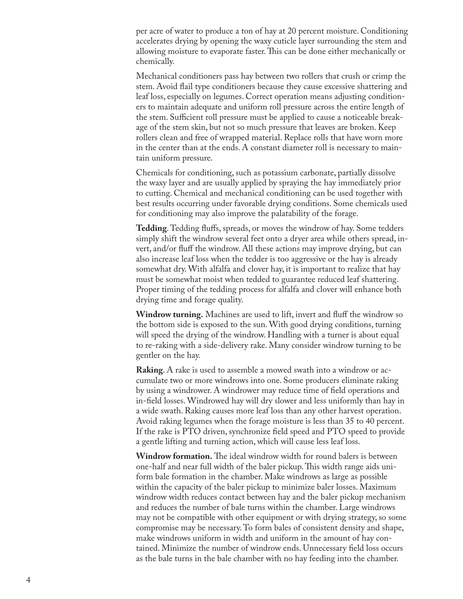per acre of water to produce a ton of hay at 20 percent moisture. Conditioning accelerates drying by opening the waxy cuticle layer surrounding the stem and allowing moisture to evaporate faster. This can be done either mechanically or chemically.

Mechanical conditioners pass hay between two rollers that crush or crimp the stem. Avoid flail type conditioners because they cause excessive shattering and leaf loss, especially on legumes. Correct operation means adjusting condition ers to maintain adequate and uniform roll pressure across the entire length of the stem. Sufficient roll pressure must be applied to cause a noticeable break age of the stem skin, but not so much pressure that leaves are broken. Keep rollers clean and free of wrapped material. Replace rolls that have worn more in the center than at the ends. A constant diameter roll is necessary to main tain uniform pressure.

Chemicals for conditioning, such as potassium carbonate, partially dissolve the waxy layer and are usually applied by spraying the hay immediately prior to cutting. Chemical and mechanical conditioning can be used together with best results occurring under favorable drying conditions. Some chemicals used for conditioning may also improve the palatability of the forage.

**Tedding**. Tedding fluffs, spreads, or moves the windrow of hay. Some tedders simply shift the windrow several feet onto a dryer area while others spread, in vert, and/or fluff the windrow. All these actions may improve drying, but can also increase leaf loss when the tedder is too aggressive or the hay is already somewhat dry. With alfalfa and clover hay, it is important to realize that hay must be somewhat moist when tedded to guarantee reduced leaf shattering. Proper timing of the tedding process for alfalfa and clover will enhance both drying time and forage quality.

**Windrow turning.** Machines are used to lift, invert and fluff the windrow so the bottom side is exposed to the sun. With good drying conditions, turning will speed the drying of the windrow. Handling with a turner is about equal to re-raking with a side-delivery rake. Many consider windrow turning to be gentler on the hay.

**Raking**. A rake is used to assemble a mowed swath into a windrow or ac cumulate two or more windrows into one. Some producers eliminate raking by using a windrower. A windrower may reduce time of field operations and in-field losses. Windrowed hay will dry slower and less uniformly than hay in a wide swath. Raking causes more leaf loss than any other harvest operation. Avoid raking legumes when the forage moisture is less than 35 to 40 percent. If the rake is PTO driven, synchronize field speed and PTO speed to provide a gentle lifting and turning action, which will cause less leaf loss.

**Windrow formation.** The ideal windrow width for round balers is between one-half and near full width of the baler pickup. This width range aids uni form bale formation in the chamber. Make windrows as large as possible within the capacity of the baler pickup to minimize baler losses. Maximum windrow width reduces contact between hay and the baler pickup mechanism and reduces the number of bale turns within the chamber. Large windrows may not be compatible with other equipment or with drying strategy, so some compromise may be necessary. To form bales of consistent density and shape, make windrows uniform in width and uniform in the amount of hay con tained. Minimize the number of windrow ends. Unnecessary field loss occurs as the bale turns in the bale chamber with no hay feeding into the chamber.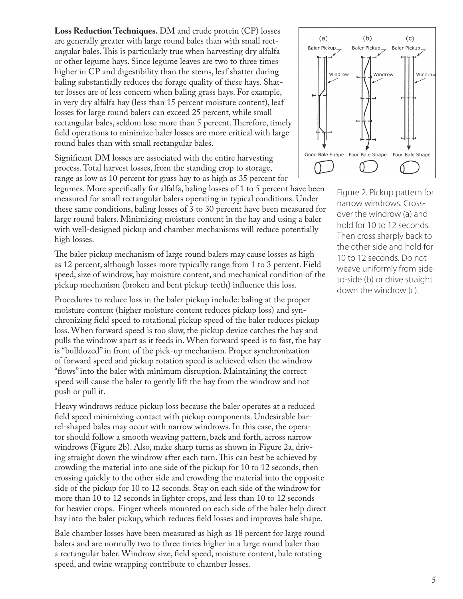**Loss Reduction Techniques.** DM and crude protein (CP) losses are generally greater with large round bales than with small rectangular bales. This is particularly true when harvesting dry alfalfa or other legume hays. Since legume leaves are two to three times higher in CP and digestibility than the stems, leaf shatter during baling substantially reduces the forage quality of these hays. Shatter losses are of less concern when baling grass hays. For example, in very dry alfalfa hay (less than 15 percent moisture content), leaf losses for large round balers can exceed 25 percent, while small rectangular bales, seldom lose more than 5 percent. Therefore, timely field operations to minimize baler losses are more critical with large round bales than with small rectangular bales.

Significant DM losses are associated with the entire harvesting process. Total harvest losses, from the standing crop to storage, range as low as 10 percent for grass hay to as high as 35 percent for

legumes. More specifically for alfalfa, baling losses of 1 to 5 percent have been measured for small rectangular balers operating in typical conditions. Under these same conditions, baling losses of 3 to 30 percent have been measured for large round balers. Minimizing moisture content in the hay and using a baler with well-designed pickup and chamber mechanisms will reduce potentially high losses.

The baler pickup mechanism of large round balers may cause losses as high as 12 percent, although losses more typically range from 1 to 3 percent. Field speed, size of windrow, hay moisture content, and mechanical condition of the pickup mechanism (broken and bent pickup teeth) influence this loss.

Procedures to reduce loss in the baler pickup include: baling at the proper moisture content (higher moisture content reduces pickup loss) and synchronizing field speed to rotational pickup speed of the baler reduces pickup loss. When forward speed is too slow, the pickup device catches the hay and pulls the windrow apart as it feeds in. When forward speed is to fast, the hay is "bulldozed" in front of the pick-up mechanism. Proper synchronization of forward speed and pickup rotation speed is achieved when the windrow "flows" into the baler with minimum disruption. Maintaining the correct speed will cause the baler to gently lift the hay from the windrow and not push or pull it.

Heavy windrows reduce pickup loss because the baler operates at a reduced field speed minimizing contact with pickup components. Undesirable barrel-shaped bales may occur with narrow windrows. In this case, the operator should follow a smooth weaving pattern, back and forth, across narrow windrows (Figure 2b). Also, make sharp turns as shown in Figure 2a, driving straight down the windrow after each turn. This can best be achieved by crowding the material into one side of the pickup for 10 to 12 seconds, then crossing quickly to the other side and crowding the material into the opposite side of the pickup for 10 to 12 seconds. Stay on each side of the windrow for more than 10 to 12 seconds in lighter crops, and less than 10 to 12 seconds for heavier crops. Finger wheels mounted on each side of the baler help direct hay into the baler pickup, which reduces field losses and improves bale shape.

Bale chamber losses have been measured as high as 18 percent for large round balers and are normally two to three times higher in a large round baler than a rectangular baler. Windrow size, field speed, moisture content, bale rotating speed, and twine wrapping contribute to chamber losses.



Figure 2. Pickup pattern for narrow windrows. Crossover the windrow (a) and hold for 10 to 12 seconds. Then cross sharply back to the other side and hold for 10 to 12 seconds. Do not weave uniformly from sideto-side (b) or drive straight down the windrow (c).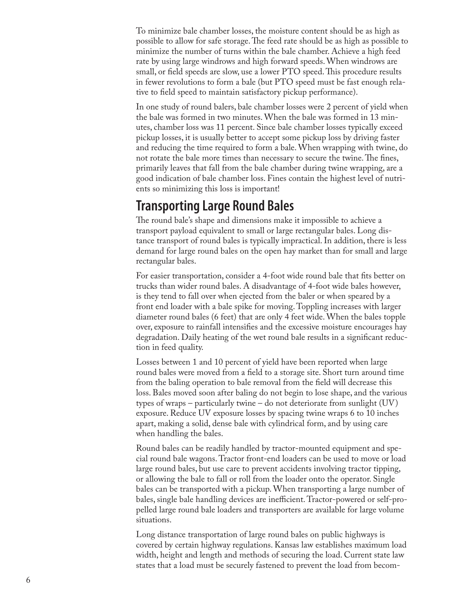To minimize bale chamber losses, the moisture content should be as high as possible to allow for safe storage. The feed rate should be as high as possible to minimize the number of turns within the bale chamber. Achieve a high feed rate by using large windrows and high forward speeds. When windrows are small, or field speeds are slow, use a lower PTO speed. This procedure results in fewer revolutions to form a bale (but PTO speed must be fast enough rela tive to field speed to maintain satisfactory pickup performance).

In one study of round balers, bale chamber losses were 2 percent of yield when the bale was formed in two minutes. When the bale was formed in 13 min utes, chamber loss was 11 percent. Since bale chamber losses typically exceed pickup losses, it is usually better to accept some pickup loss by driving faster and reducing the time required to form a bale. When wrapping with twine, do not rotate the bale more times than necessary to secure the twine. The fines, primarily leaves that fall from the bale chamber during twine wrapping, are a good indication of bale chamber loss. Fines contain the highest level of nutri ents so minimizing this loss is important!

## **Transporting Large Round Bales**

The round bale's shape and dimensions make it impossible to achieve a transport payload equivalent to small or large rectangular bales. Long dis tance transport of round bales is typically impractical. In addition, there is less demand for large round bales on the open hay market than for small and large rectangular bales.

For easier transportation, consider a 4-foot wide round bale that fits better on trucks than wider round bales. A disadvantage of 4-foot wide bales however, is they tend to fall over when ejected from the baler or when speared by a front end loader with a bale spike for moving. Toppling increases with larger diameter round bales (6 feet) that are only 4 feet wide. When the bales topple over, exposure to rainfall intensifies and the excessive moisture encourages hay degradation. Daily heating of the wet round bale results in a significant reduc tion in feed quality.

Losses between 1 and 10 percent of yield have been reported when large round bales were moved from a field to a storage site. Short turn around time from the baling operation to bale removal from the field will decrease this loss. Bales moved soon after baling do not begin to lose shape, and the various types of wraps – particularly twine – do not deteriorate from sunlight (UV) exposure. Reduce UV exposure losses by spacing twine wraps 6 to 10 inches apart, making a solid, dense bale with cylindrical form, and by using care when handling the bales.

Round bales can be readily handled by tractor-mounted equipment and spe cial round bale wagons. Tractor front-end loaders can be used to move or load large round bales, but use care to prevent accidents involving tractor tipping, or allowing the bale to fall or roll from the loader onto the operator. Single bales can be transported with a pickup. When transporting a large number of bales, single bale handling devices are inefficient. Tractor-powered or self-pro pelled large round bale loaders and transporters are available for large volume situations.

Long distance transportation of large round bales on public highways is covered by certain highway regulations. Kansas law establishes maximum load width, height and length and methods of securing the load. Current state law states that a load must be securely fastened to prevent the load from becom -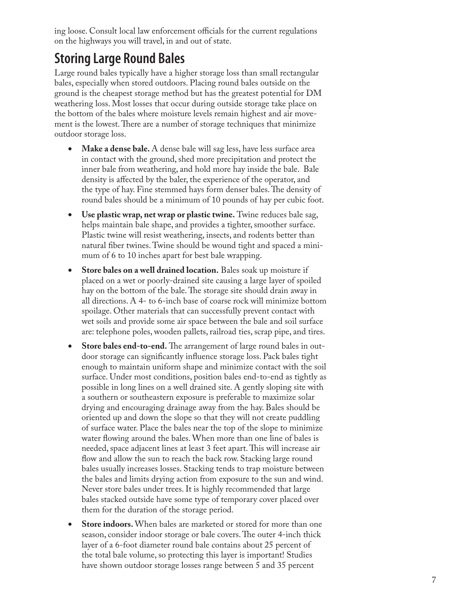ing loose. Consult local law enforcement officials for the current regulations on the highways you will travel, in and out of state.

## **Storing Large Round Bales**

Large round bales typically have a higher storage loss than small rectangular bales, especially when stored outdoors. Placing round bales outside on the ground is the cheapest storage method but has the greatest potential for DM weathering loss. Most losses that occur during outside storage take place on the bottom of the bales where moisture levels remain highest and air move ment is the lowest. There are a number of storage techniques that minimize outdoor storage loss.

- Make a dense bale. A dense bale will sag less, have less surface area in contact with the ground, shed more precipitation and protect the inner bale from weathering, and hold more hay inside the bale. Bale density is affected by the baler, the experience of the operator, and the type of hay. Fine stemmed hays form denser bales. The density of round bales should be a minimum of 10 pounds of hay per cubic foot.
- **Use plastic wrap, net wrap or plastic twine.** Twine reduces bale sag, helps maintain bale shape, and provides a tighter, smoother surface. Plastic twine will resist weathering, insects, and rodents better than natural fiber twines. Twine should be wound tight and spaced a mini mum of 6 to 10 inches apart for best bale wrapping.
- **Store bales on a well drained location.** Bales soak up moisture if placed on a wet or poorly-drained site causing a large layer of spoiled hay on the bottom of the bale. The storage site should drain away in all directions. A 4- to 6-inch base of coarse rock will minimize bottom spoilage. Other materials that can successfully prevent contact with wet soils and provide some air space between the bale and soil surface are: telephone poles, wooden pallets, railroad ties, scrap pipe, and tires.
- **•** Store bales end-to-end. The arrangement of large round bales in outdoor storage can significantly influence storage loss. Pack bales tight enough to maintain uniform shape and minimize contact with the soil surface. Under most conditions, position bales end-to-end as tightly as possible in long lines on a well drained site. A gently sloping site with a southern or southeastern exposure is preferable to maximize solar drying and encouraging drainage away from the hay. Bales should be oriented up and down the slope so that they will not create puddling of surface water. Place the bales near the top of the slope to minimize water flowing around the bales. When more than one line of bales is needed, space adjacent lines at least 3 feet apart. This will increase air flow and allow the sun to reach the back row. Stacking large round bales usually increases losses. Stacking tends to trap moisture between the bales and limits drying action from exposure to the sun and wind. Never store bales under trees. It is highly recommended that large bales stacked outside have some type of temporary cover placed over them for the duration of the storage period.
- **Store indoors.** When bales are marketed or stored for more than one season, consider indoor storage or bale covers. The outer 4-inch thick layer of a 6-foot diameter round bale contains about 25 percent of the total bale volume, so protecting this layer is important! Studies have shown outdoor storage losses range between 5 and 35 percent